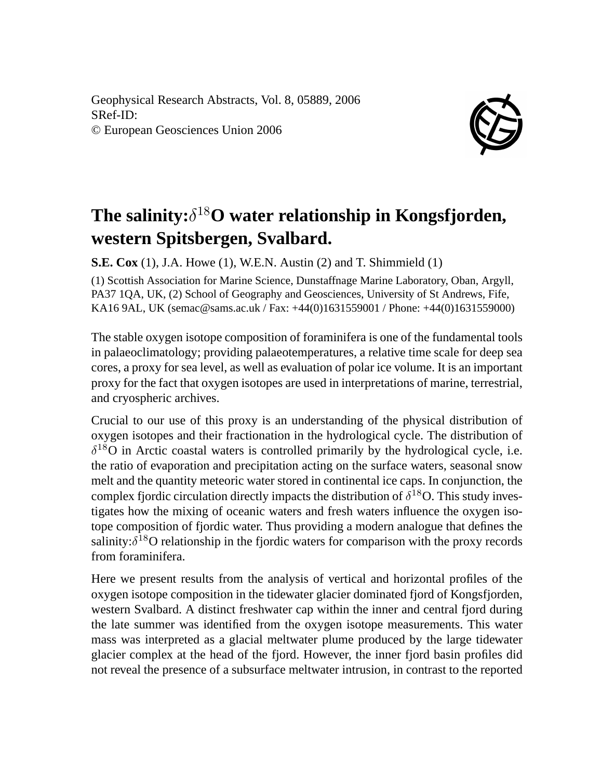Geophysical Research Abstracts, Vol. 8, 05889, 2006 SRef-ID: © European Geosciences Union 2006



## **The salinity:**δ <sup>18</sup>**O water relationship in Kongsfjorden, western Spitsbergen, Svalbard.**

**S.E. Cox** (1), J.A. Howe (1), W.E.N. Austin (2) and T. Shimmield (1)

(1) Scottish Association for Marine Science, Dunstaffnage Marine Laboratory, Oban, Argyll, PA37 1QA, UK, (2) School of Geography and Geosciences, University of St Andrews, Fife, KA16 9AL, UK (semac@sams.ac.uk / Fax: +44(0)1631559001 / Phone: +44(0)1631559000)

The stable oxygen isotope composition of foraminifera is one of the fundamental tools in palaeoclimatology; providing palaeotemperatures, a relative time scale for deep sea cores, a proxy for sea level, as well as evaluation of polar ice volume. It is an important proxy for the fact that oxygen isotopes are used in interpretations of marine, terrestrial, and cryospheric archives.

Crucial to our use of this proxy is an understanding of the physical distribution of oxygen isotopes and their fractionation in the hydrological cycle. The distribution of  $\delta^{18}$ O in Arctic coastal waters is controlled primarily by the hydrological cycle, i.e. the ratio of evaporation and precipitation acting on the surface waters, seasonal snow melt and the quantity meteoric water stored in continental ice caps. In conjunction, the complex fjordic circulation directly impacts the distribution of  $\delta^{18}O$ . This study investigates how the mixing of oceanic waters and fresh waters influence the oxygen isotope composition of fjordic water. Thus providing a modern analogue that defines the salinity: $\delta^{18}$ O relationship in the fjordic waters for comparison with the proxy records from foraminifera.

Here we present results from the analysis of vertical and horizontal profiles of the oxygen isotope composition in the tidewater glacier dominated fjord of Kongsfjorden, western Svalbard. A distinct freshwater cap within the inner and central fjord during the late summer was identified from the oxygen isotope measurements. This water mass was interpreted as a glacial meltwater plume produced by the large tidewater glacier complex at the head of the fjord. However, the inner fjord basin profiles did not reveal the presence of a subsurface meltwater intrusion, in contrast to the reported